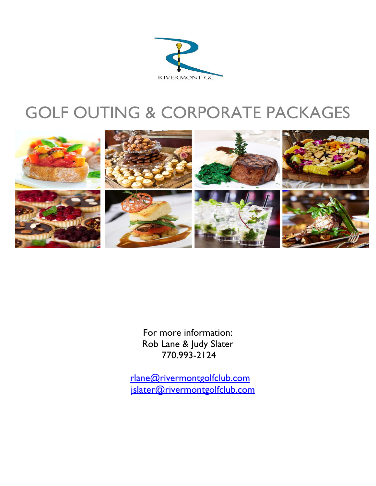

# GOLF OUTING & CORPORATE PACKAGES



For more information: Rob Lane & Judy Slater 770.993-2124

 [rlane@rivermontgolfclub.com](mailto:rlane@rivermontgolfclub.com) [jslater@rivermontgolfclub.com](mailto:jslater@rivermontgolfclub.com)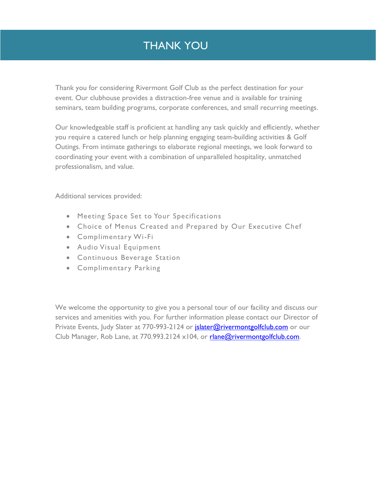## THANK YOU

Thank you for considering Rivermont Golf Club as the perfect destination for your event. Our clubhouse provides a distraction-free venue and is available for training seminars, team building programs, corporate conferences, and small recurring meetings.

Our knowledgeable staff is proficient at handling any task quickly and efficiently, whether you require a catered lunch or help planning engaging team-building activities & Golf Outings. From intimate gatherings to elaborate regional meetings, we look forward to coordinating your event with a combination of unparalleled hospitality, unmatched professionalism, and value.

Additional services provided:

- Meeting Space Set to Your Specifications
- Choice of Menus Created and Prepared by Our Executive Chef
- Complimentary Wi-Fi
- Audio Visual Equipment
- Continuous Beverage Station
- Complimentary Parking

We welcome the opportunity to give you a personal tour of our facility and discuss our services and amenities with you. For further information please contact our Director of Private Events, Judy Slater at 770-993-2124 or *jslater@rivermontgolfclub.com* or our Club Manager, Rob Lane, at 770.993.2124 x104, or [rlane@rivermontgolfclub.com.](mailto:rlane@rivermontgolfclub.com)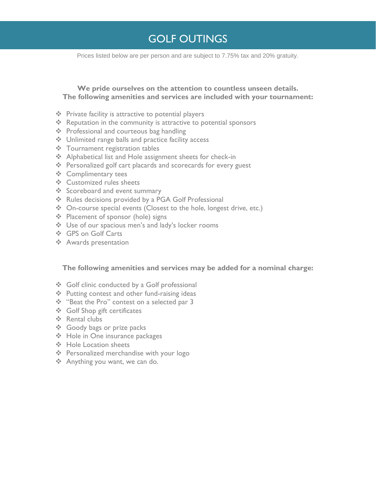## GOLF OUTINGS

Prices listed below are per person and are subject to 7.75% tax and 20% gratuity.

## **We pride ourselves on the attention to countless unseen details. The following amenities and services are included with your tournament:**

- ❖ Private facility is attractive to potential players
- ❖ Reputation in the community is attractive to potential sponsors
- ❖ Professional and courteous bag handling
- ❖ Unlimited range balls and practice facility access
- ❖ Tournament registration tables
- ❖ Alphabetical list and Hole assignment sheets for check-in
- ❖ Personalized golf cart placards and scorecards for every guest
- ❖ Complimentary tees
- ❖ Customized rules sheets
- ❖ Scoreboard and event summary
- ❖ Rules decisions provided by a PGA Golf Professional
- ❖ On-course special events (Closest to the hole, longest drive, etc.)
- ❖ Placement of sponsor (hole) signs
- ❖ Use of our spacious men's and lady's locker rooms
- ❖ GPS on Golf Carts
- ❖ Awards presentation

## **The following amenities and services may be added for a nominal charge:**

- ❖ Golf clinic conducted by a Golf professional
- ❖ Putting contest and other fund-raising ideas
- ❖ "Beat the Pro" contest on a selected par 3
- ❖ Golf Shop gift certificates
- ❖ Rental clubs
- ❖ Goody bags or prize packs
- ❖ Hole in One insurance packages
- ❖ Hole Location sheets
- ❖ Personalized merchandise with your logo
- ❖ Anything you want, we can do.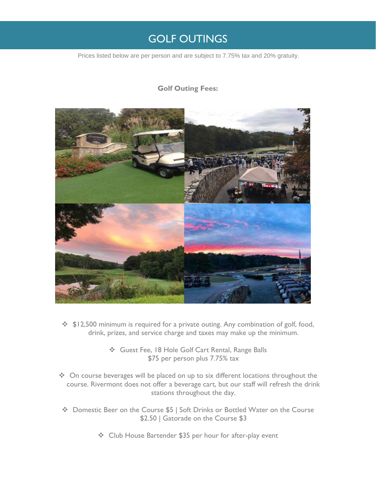## GOLF OUTINGS

Prices listed below are per person and are subject to 7.75% tax and 20% gratuity.

## **Golf Outing Fees:**



- ❖ \$12,500 minimum is required for a private outing. Any combination of golf, food, drink, prizes, and service charge and taxes may make up the minimum.
	- ❖ Guest Fee, 18 Hole Golf Cart Rental, Range Balls \$75 per person plus 7.75% tax
- ❖ On course beverages will be placed on up to six different locations throughout the course. Rivermont does not offer a beverage cart, but our staff will refresh the drink stations throughout the day.
- ❖ Domestic Beer on the Course \$5 | Soft Drinks or Bottled Water on the Course \$2.50 | Gatorade on the Course \$3
	- ❖ Club House Bartender \$35 per hour for after-play event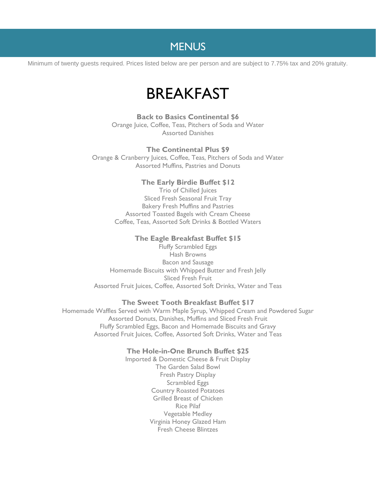Minimum of twenty guests required. Prices listed below are per person and are subject to 7.75% tax and 20% gratuity.

# BREAKFAST

**Back to Basics Continental \$6** Orange Juice, Coffee, Teas, Pitchers of Soda and Water Assorted Danishes

### **The Continental Plus \$9**

Orange & Cranberry Juices, Coffee, Teas, Pitchers of Soda and Water Assorted Muffins, Pastries and Donuts

### **The Early Birdie Buffet \$12**

Trio of Chilled Juices Sliced Fresh Seasonal Fruit Tray Bakery Fresh Muffins and Pastries Assorted Toasted Bagels with Cream Cheese Coffee, Teas, Assorted Soft Drinks & Bottled Waters

### **The Eagle Breakfast Buffet \$15**

Fluffy Scrambled Eggs Hash Browns Bacon and Sausage Homemade Biscuits with Whipped Butter and Fresh Jelly Sliced Fresh Fruit Assorted Fruit Juices, Coffee, Assorted Soft Drinks, Water and Teas

### **The Sweet Tooth Breakfast Buffet \$17**

Homemade Waffles Served with Warm Maple Syrup, Whipped Cream and Powdered Sugar Assorted Donuts, Danishes, Muffins and Sliced Fresh Fruit Fluffy Scrambled Eggs, Bacon and Homemade Biscuits and Gravy Assorted Fruit Juices, Coffee, Assorted Soft Drinks, Water and Teas

## **The Hole-in-One Brunch Buffet \$25**

Imported & Domestic Cheese & Fruit Display The Garden Salad Bowl Fresh Pastry Display Scrambled Eggs Country Roasted Potatoes Grilled Breast of Chicken Rice Pilaf Vegetable Medley Virginia Honey Glazed Ham Fresh Cheese Blintzes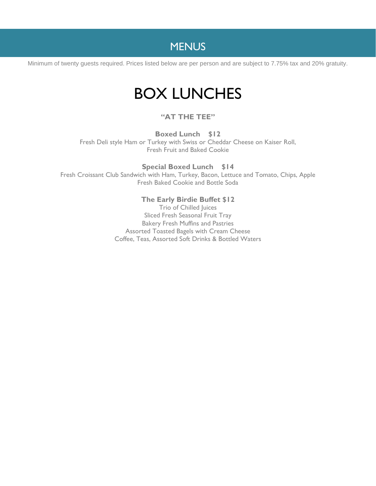Minimum of twenty guests required. Prices listed below are per person and are subject to 7.75% tax and 20% gratuity.

# BOX LUNCHES

## **"AT THE TEE"**

**Boxed Lunch \$12** Fresh Deli style Ham or Turkey with Swiss or Cheddar Cheese on Kaiser Roll, Fresh Fruit and Baked Cookie

**Special Boxed Lunch \$14** Fresh Croissant Club Sandwich with Ham, Turkey, Bacon, Lettuce and Tomato, Chips, Apple Fresh Baked Cookie and Bottle Soda

## **The Early Birdie Buffet \$12**

Trio of Chilled Juices Sliced Fresh Seasonal Fruit Tray Bakery Fresh Muffins and Pastries Assorted Toasted Bagels with Cream Cheese Coffee, Teas, Assorted Soft Drinks & Bottled Waters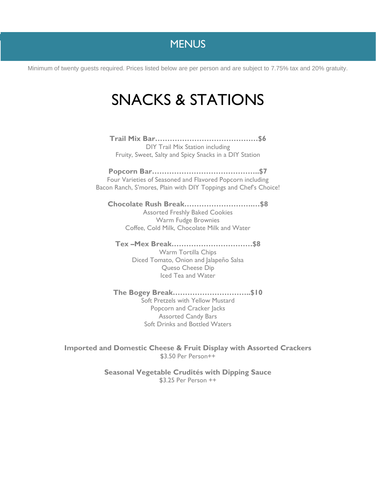Minimum of twenty guests required. Prices listed below are per person and are subject to 7.75% tax and 20% gratuity.

# SNACKS & STATIONS

**Trail Mix Bar……………………………………\$6**

DIY Trail Mix Station including Fruity, Sweet, Salty and Spicy Snacks in a DIY Station

**Popcorn Bar……………………………………..\$7** Four Varieties of Seasoned and Flavored Popcorn including Bacon Ranch, S'mores, Plain with DIY Toppings and Chef's Choice!

**Chocolate Rush Break……………………….…\$8** Assorted Freshly Baked Cookies Warm Fudge Brownies

Coffee, Cold Milk, Chocolate Milk and Water

**Tex –Mex Break……………………………\$8**

Warm Tortilla Chips Diced Tomato, Onion and Jalapeño Salsa Queso Cheese Dip Iced Tea and Water

**The Bogey Break…………………………..\$10** Soft Pretzels with Yellow Mustard Popcorn and Cracker Jacks Assorted Candy Bars Soft Drinks and Bottled Waters

**Imported and Domestic Cheese & Fruit Display with Assorted Crackers** \$3.50 Per Person++

> **Seasonal Vegetable Crudités with Dipping Sauce** \$3.25 Per Person ++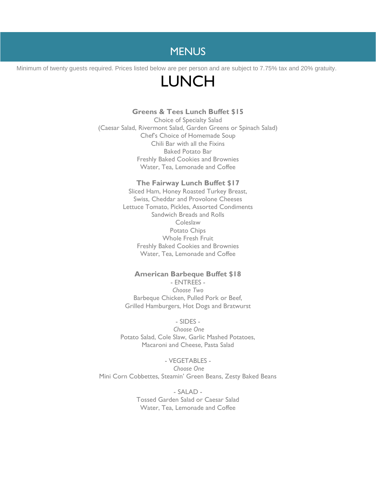Minimum of twenty guests required. Prices listed below are per person and are subject to 7.75% tax and 20% gratuity.

# LUNCH

### **Greens & Tees Lunch Buffet \$15**

Choice of Specialty Salad (Caesar Salad, Rivermont Salad, Garden Greens or Spinach Salad) Chef's Choice of Homemade Soup Chili Bar with all the Fixins Baked Potato Bar Freshly Baked Cookies and Brownies Water, Tea, Lemonade and Coffee

#### **The Fairway Lunch Buffet \$17**

Sliced Ham, Honey Roasted Turkey Breast, Swiss, Cheddar and Provolone Cheeses Lettuce Tomato, Pickles, Assorted Condiments Sandwich Breads and Rolls **Coleslaw** Potato Chips Whole Fresh Fruit Freshly Baked Cookies and Brownies Water, Tea, Lemonade and Coffee

### **American Barbeque Buffet \$18**

- ENTREES - *Choose Two* Barbeque Chicken, Pulled Pork or Beef, Grilled Hamburgers, Hot Dogs and Bratwurst

- SIDES - *Choose One* Potato Salad, Cole Slaw, Garlic Mashed Potatoes, Macaroni and Cheese, Pasta Salad

- VEGETABLES - *Choose One* Mini Corn Cobbettes, Steamin' Green Beans, Zesty Baked Beans

> - SALAD - Tossed Garden Salad or Caesar Salad Water, Tea, Lemonade and Coffee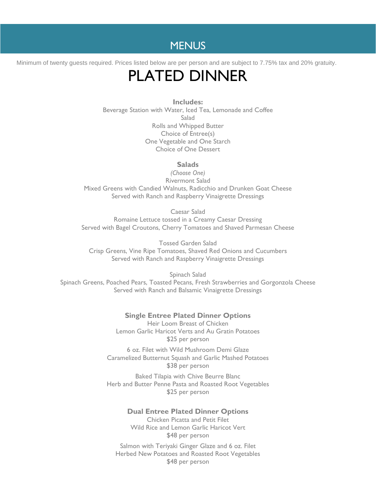Minimum of twenty guests required. Prices listed below are per person and are subject to 7.75% tax and 20% gratuity.

# PLATED DINNER

**Includes:** Beverage Station with Water, Iced Tea, Lemonade and Coffee **Salad** Rolls and Whipped Butter Choice of Entree(s) One Vegetable and One Starch Choice of One Dessert

### **Salads**

*(Choose One)* Rivermont Salad Mixed Greens with Candied Walnuts, Radicchio and Drunken Goat Cheese Served with Ranch and Raspberry Vinaigrette Dressings

Caesar Salad Romaine Lettuce tossed in a Creamy Caesar Dressing Served with Bagel Croutons, Cherry Tomatoes and Shaved Parmesan Cheese

Tossed Garden Salad Crisp Greens, Vine Ripe Tomatoes, Shaved Red Onions and Cucumbers Served with Ranch and Raspberry Vinaigrette Dressings

Spinach Salad Spinach Greens, Poached Pears, Toasted Pecans, Fresh Strawberries and Gorgonzola Cheese Served with Ranch and Balsamic Vinaigrette Dressings

### **Single Entree Plated Dinner Options**

Heir Loom Breast of Chicken Lemon Garlic Haricot Verts and Au Gratin Potatoes \$25 per person

6 oz. Filet with Wild Mushroom Demi Glaze Caramelized Butternut Squash and Garlic Mashed Potatoes \$38 per person

Baked Tilapia with Chive Beurre Blanc Herb and Butter Penne Pasta and Roasted Root Vegetables \$25 per person

## **Dual Entree Plated Dinner Options**

Chicken Picatta and Petit Filet Wild Rice and Lemon Garlic Haricot Vert \$48 per person

Salmon with Teriyaki Ginger Glaze and 6 oz. Filet Herbed New Potatoes and Roasted Root Vegetables \$48 per person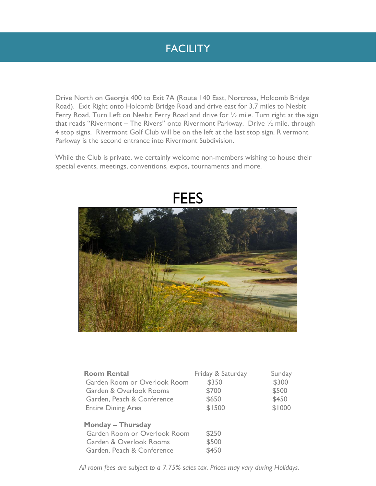## **FACILITY**

Drive North on Georgia 400 to Exit 7A (Route 140 East, Norcross, Holcomb Bridge Road). Exit Right onto Holcomb Bridge Road and drive east for 3.7 miles to Nesbit Ferry Road. Turn Left on Nesbit Ferry Road and drive for 1/2 mile. Turn right at the sign that reads "Rivermont – The Rivers" onto Rivermont Parkway. Drive ½ mile, through 4 stop signs. Rivermont Golf Club will be on the left at the last stop sign. Rivermont Parkway is the second entrance into Rivermont Subdivision.

While the Club is private, we certainly welcome non-members wishing to house their special events, meetings, conventions, expos, tournaments and more.



| <b>Room Rental</b>           | Friday & Saturday | Sunday |
|------------------------------|-------------------|--------|
| Garden Room or Overlook Room | \$350             | \$300  |
| Garden & Overlook Rooms      | \$700             | \$500  |
| Garden, Peach & Conference   | \$650             | \$450  |
| <b>Entire Dining Area</b>    | \$1500            | \$1000 |
| <b>Monday - Thursday</b>     |                   |        |
| Garden Room or Overlook Room | \$250             |        |
| Garden & Overlook Rooms      | \$500             |        |
| Garden, Peach & Conference   | \$450             |        |

*All room fees are subject to a 7.75% sales tax. Prices may vary during Holidays.*